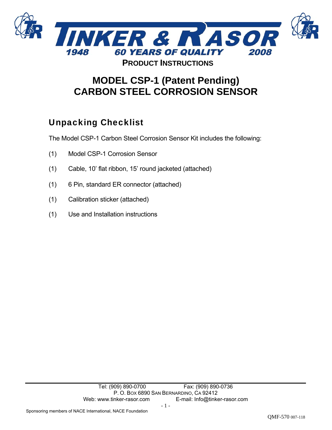

## **MODEL CSP-1 (Patent Pending) CARBON STEEL CORROSION SENSOR**

## Unpacking Checklist

The Model CSP-1 Carbon Steel Corrosion Sensor Kit includes the following:

- (1) Model CSP-1 Corrosion Sensor
- (1) Cable, 10' flat ribbon, 15' round jacketed (attached)
- (1) 6 Pin, standard ER connector (attached)
- (1) Calibration sticker (attached)
- (1) Use and Installation instructions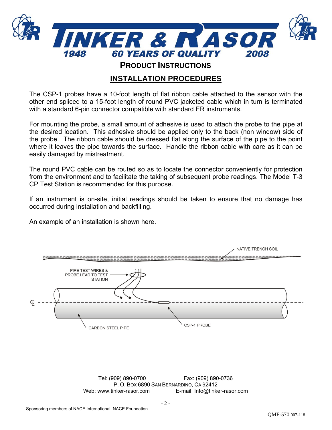

**PRODUCT INSTRUCTIONS**

## **INSTALLATION PROCEDURES**

The CSP-1 probes have a 10-foot length of flat ribbon cable attached to the sensor with the other end spliced to a 15-foot length of round PVC jacketed cable which in turn is terminated with a standard 6-pin connector compatible with standard ER instruments.

For mounting the probe, a small amount of adhesive is used to attach the probe to the pipe at the desired location. This adhesive should be applied only to the back (non window) side of the probe. The ribbon cable should be dressed flat along the surface of the pipe to the point where it leaves the pipe towards the surface. Handle the ribbon cable with care as it can be easily damaged by mistreatment.

The round PVC cable can be routed so as to locate the connector conveniently for protection from the environment and to facilitate the taking of subsequent probe readings. The Model T-3 CP Test Station is recommended for this purpose.

If an instrument is on-site, initial readings should be taken to ensure that no damage has occurred during installation and backfilling.

An example of an installation is shown here.

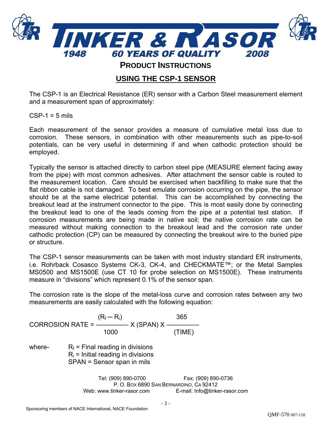

**PRODUCT INSTRUCTIONS**

## **USING THE CSP-1 SENSOR**

The CSP-1 is an Electrical Resistance (ER) sensor with a Carbon Steel measurement element and a measurement span of approximately:

 $CSP-1 = 5$  mils

Each measurement of the sensor provides a measure of cumulative metal loss due to corrosion. These sensors, in combination with other measurements such as pipe-to-soil potentials, can be very useful in determining if and when cathodic protection should be employed.

Typically the sensor is attached directly to carbon steel pipe (MEASURE element facing away from the pipe) with most common adhesives. After attachment the sensor cable is routed to the measurement location. Care should be exercised when backfilling to make sure that the flat ribbon cable is not damaged. To best emulate corrosion occurring on the pipe, the sensor should be at the same electrical potential. This can be accomplished by connecting the breakout lead at the instrument connector to the pipe. This is most easily done by connecting the breakout lead to one of the leads coming from the pipe at a potential test station. If corrosion measurements are being made in native soil; the native corrosion rate can be measured without making connection to the breakout lead and the corrosion rate under cathodic protection (CP) can be measured by connecting the breakout wire to the buried pipe or structure.

The CSP-1 sensor measurements can be taken with most industry standard ER instruments, i.e. Rohrback Cosasco Systems CK-3, CK-4, and CHECKMATE™; or the Metal Samples MS0500 and MS1500E (use CT 10 for probe selection on MS1500E). These instruments measure in "divisions" which represent 0.1% of the sensor span.

The corrosion rate is the slope of the metal-loss curve and corrosion rates between any two measurements are easily calculated with the following equation:

 $(R_f - R_i)$  365 CORROSION RATE =  $\frac{1}{1}$  X (SPAN) X – 1000 (TIME) where-  $R_f$  = Final reading in divisions  $R_i$  = Initial reading in divisions SPAN = Sensor span in mils

> Tel: (909) 890-0700 Fax: (909) 890-0736 P. O. BOX 6890 SAN BERNARDINO, CA 92412 Web: www.tinker-rasor.com E-mail: Info@tinker-rasor.com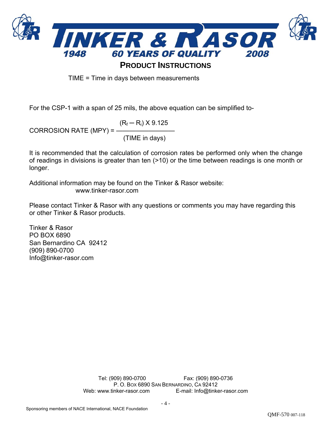

TIME = Time in days between measurements

For the CSP-1 with a span of 25 mils, the above equation can be simplified to-

 $(R_f - R_i) \times 9.125$ CORROSION RATE (MPY) = ————————— (TIME in days)

It is recommended that the calculation of corrosion rates be performed only when the change of readings in divisions is greater than ten (>10) or the time between readings is one month or longer.

Additional information may be found on the Tinker & Rasor website: www.tinker-rasor.com

Please contact Tinker & Rasor with any questions or comments you may have regarding this or other Tinker & Rasor products.

Tinker & Rasor PO BOX 6890 San Bernardino CA 92412 (909) 890-0700 Info@tinker-rasor.com

> Tel: (909) 890-0700 Fax: (909) 890-0736 P. O. BOX 6890 SAN BERNARDINO, CA 92412 Web: www.tinker-rasor.com E-mail: Info@tinker-rasor.com